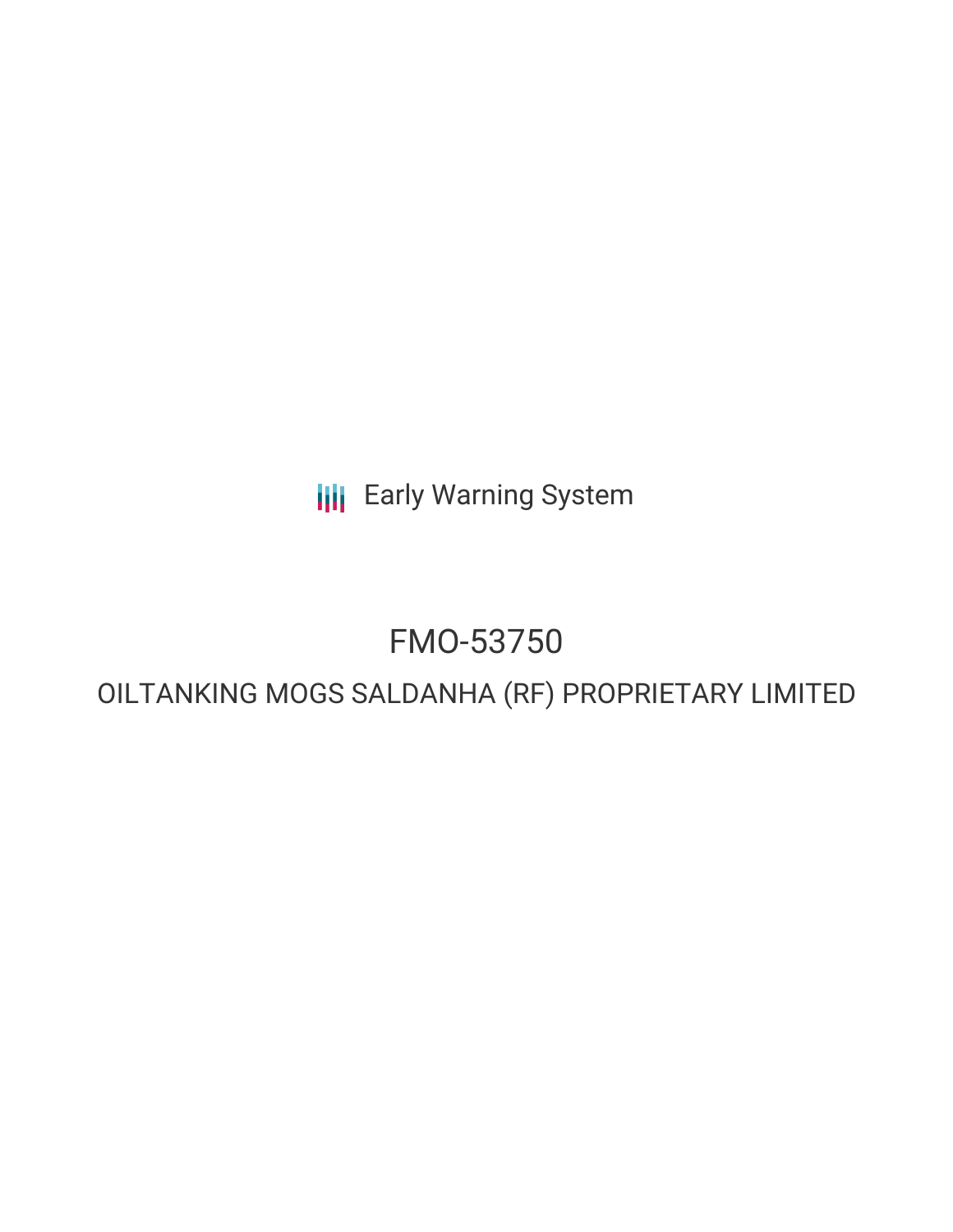**III** Early Warning System

## FMO-53750

## OILTANKING MOGS SALDANHA (RF) PROPRIETARY LIMITED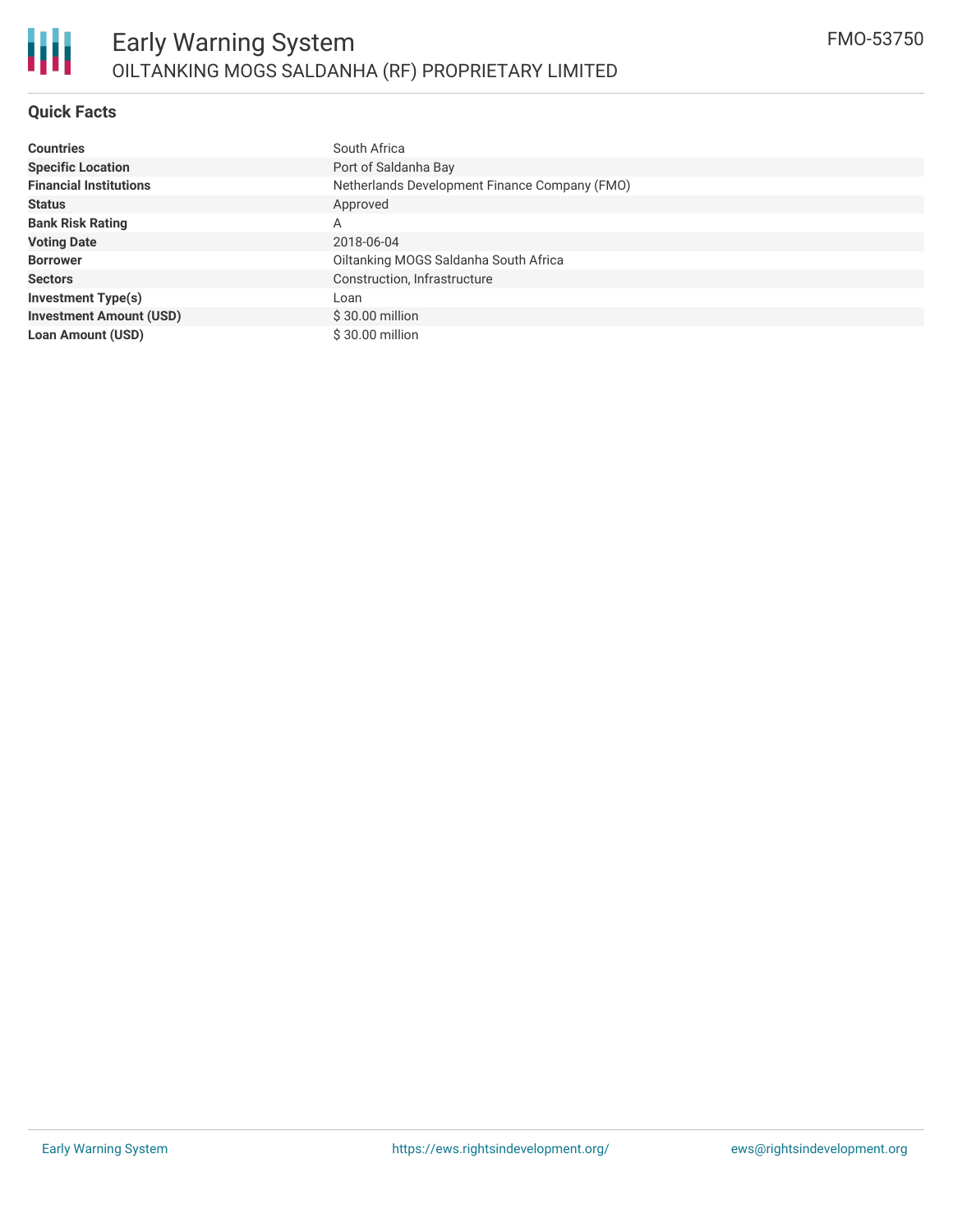#### **Quick Facts**

| <b>Countries</b>               | South Africa                                  |  |  |  |  |
|--------------------------------|-----------------------------------------------|--|--|--|--|
| <b>Specific Location</b>       | Port of Saldanha Bay                          |  |  |  |  |
| <b>Financial Institutions</b>  | Netherlands Development Finance Company (FMO) |  |  |  |  |
| <b>Status</b>                  | Approved                                      |  |  |  |  |
| <b>Bank Risk Rating</b>        | А                                             |  |  |  |  |
| <b>Voting Date</b>             | 2018-06-04                                    |  |  |  |  |
| <b>Borrower</b>                | Oiltanking MOGS Saldanha South Africa         |  |  |  |  |
| <b>Sectors</b>                 | Construction, Infrastructure                  |  |  |  |  |
| <b>Investment Type(s)</b>      | Loan                                          |  |  |  |  |
| <b>Investment Amount (USD)</b> | $$30.00$ million                              |  |  |  |  |
| <b>Loan Amount (USD)</b>       | $$30.00$ million                              |  |  |  |  |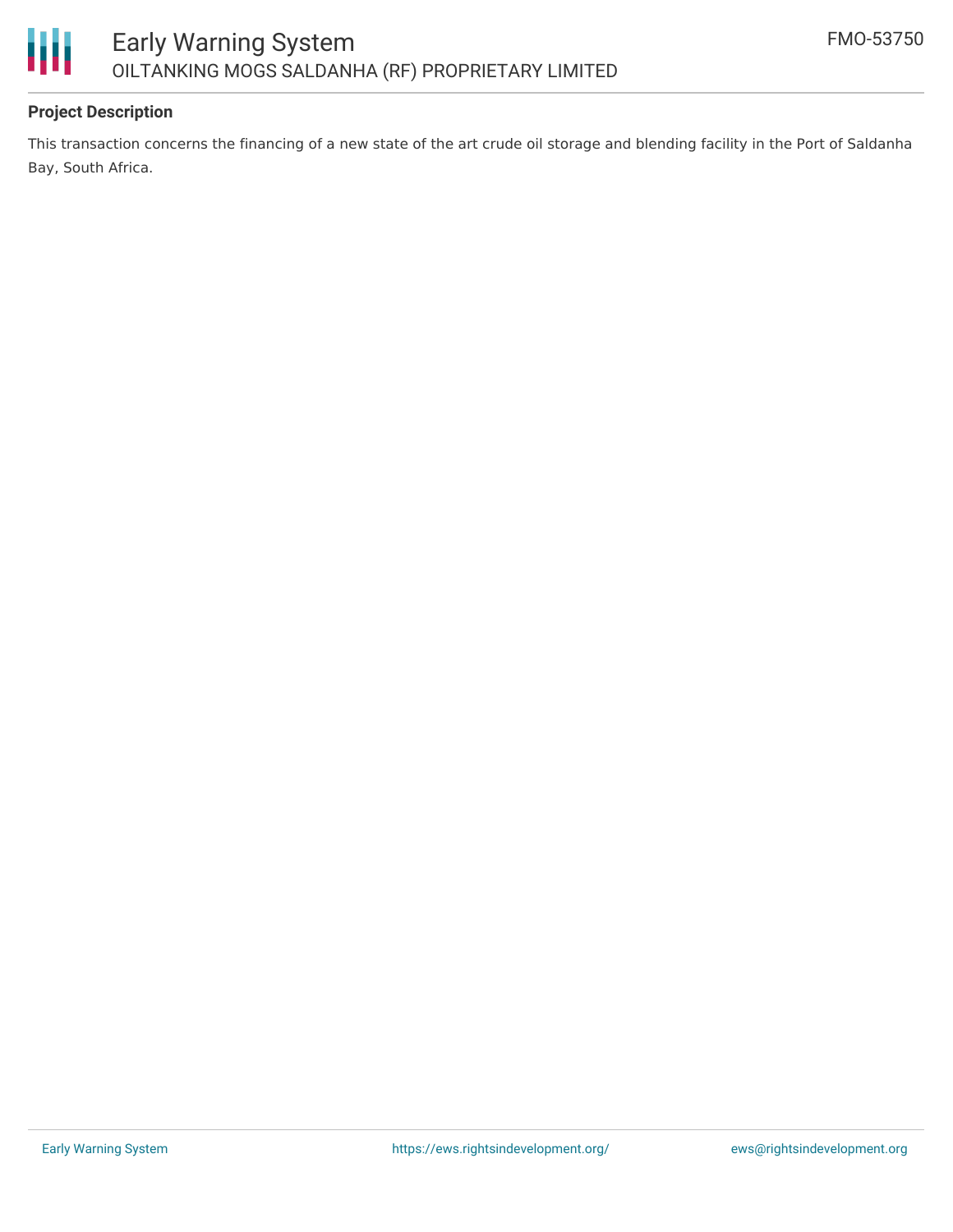

#### **Project Description**

This transaction concerns the financing of a new state of the art crude oil storage and blending facility in the Port of Saldanha Bay, South Africa.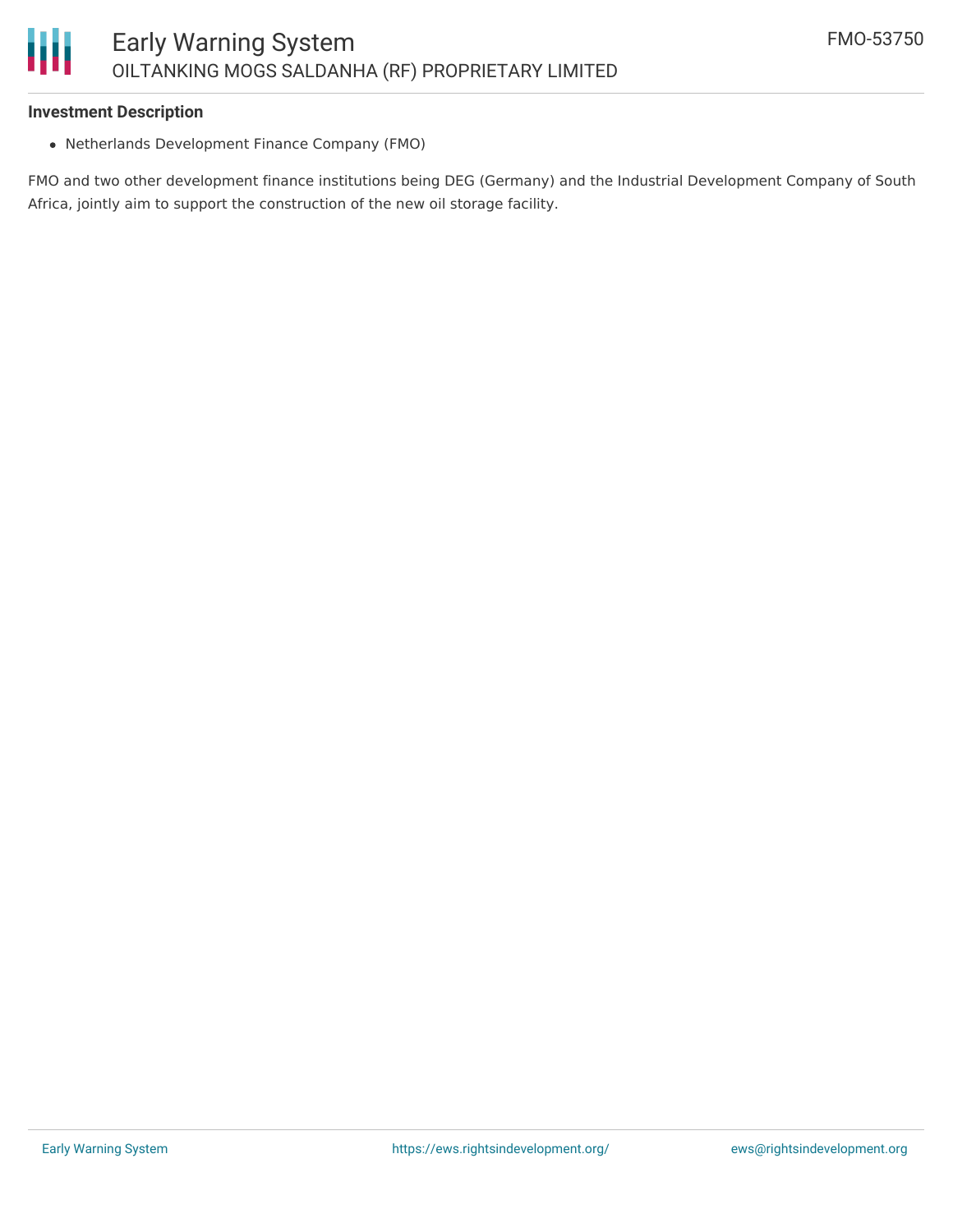#### **Investment Description**

Netherlands Development Finance Company (FMO)

FMO and two other development finance institutions being DEG (Germany) and the Industrial Development Company of South Africa, jointly aim to support the construction of the new oil storage facility.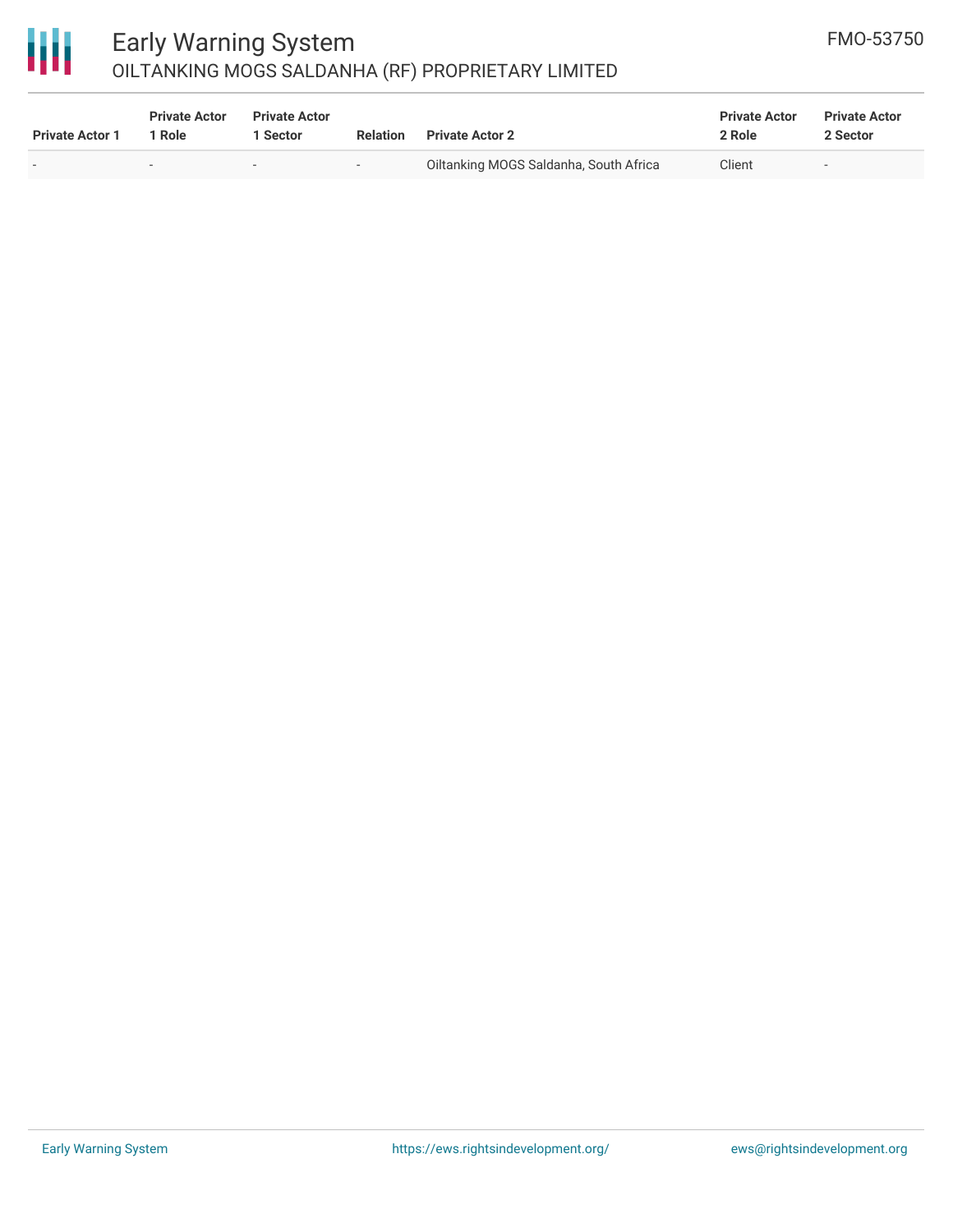# 冊

### Early Warning System OILTANKING MOGS SALDANHA (RF) PROPRIETARY LIMITED

| <b>Private Actor 1</b> | <b>Private Actor</b><br>1 Role | <b>Private Actor</b><br>  Sector | <b>Relation</b>          | <b>Private Actor 2</b>                 | <b>Private Actor</b><br>2 Role | <b>Private Actor</b><br>2 Sector |
|------------------------|--------------------------------|----------------------------------|--------------------------|----------------------------------------|--------------------------------|----------------------------------|
|                        |                                |                                  | $\overline{\phantom{0}}$ | Oiltanking MOGS Saldanha, South Africa | Client                         | $\overline{\phantom{a}}$         |